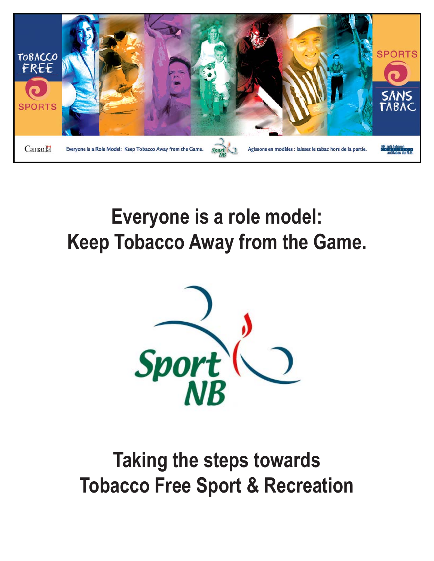

# **Everyone is a role model: Keep Tobacco Away from the Game.**



# **Taking the steps towards Tobacco Free Sport & Recreation**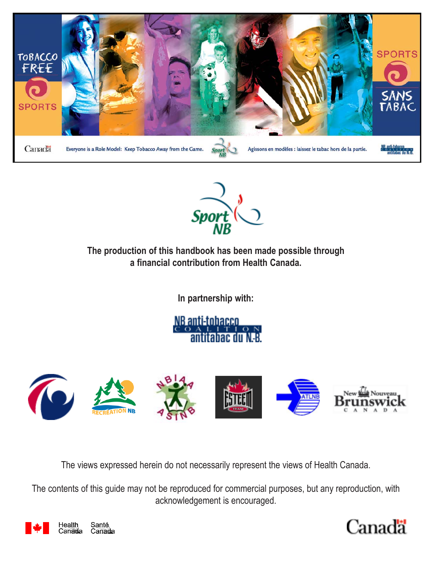



**The production of this handbook has been made possible through a financial contribution from Health Canada.**

**In partnership with:**

NB anti-tobacco antitabac du N.B



The views expressed herein do not necessarily represent the views of Health Canada.

The contents of this guide may not be reproduced for commercial purposes, but any reproduction, with acknowledgement is encouraged.



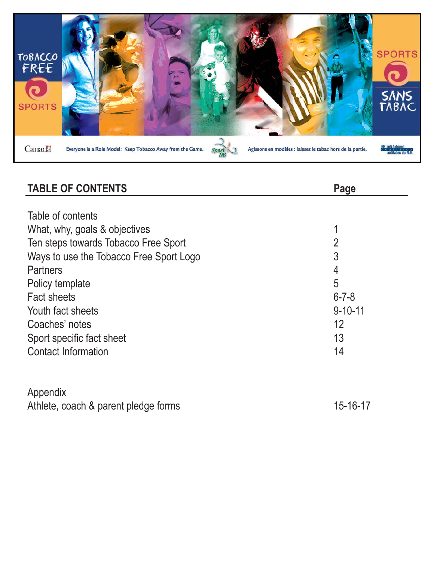

| <b>TABLE OF CONTENTS</b>                | Page           |
|-----------------------------------------|----------------|
|                                         |                |
| Table of contents                       |                |
| What, why, goals & objectives           | 1              |
| Ten steps towards Tobacco Free Sport    | $\overline{2}$ |
| Ways to use the Tobacco Free Sport Logo | 3              |
| <b>Partners</b>                         | 4              |
| Policy template                         | 5              |
| <b>Fact sheets</b>                      | $6 - 7 - 8$    |
| Youth fact sheets                       | $9 - 10 - 11$  |
| Coaches' notes                          | 12             |
| Sport specific fact sheet               | 13             |
| <b>Contact Information</b>              | 14             |
|                                         |                |
|                                         |                |
| Appendix                                |                |
| Athlete, coach & parent pledge forms    | 15-16-17       |
|                                         |                |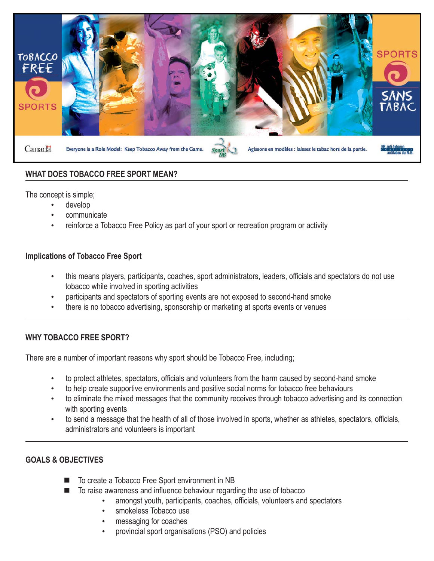

#### **WHAT DOES TOBACCO FREE SPORT MEAN?**

The concept is simple;

- develop
- communicate
- reinforce a Tobacco Free Policy as part of your sport or recreation program or activity

#### **Implications of Tobacco Free Sport**

- this means players, participants, coaches, sport administrators, leaders, officials and spectators do not use tobacco while involved in sporting activities
- participants and spectators of sporting events are not exposed to second-hand smoke
- there is no tobacco advertising, sponsorship or marketing at sports events or venues

#### **WHY TOBACCO FREE SPORT?**

There are a number of important reasons why sport should be Tobacco Free, including;

- to protect athletes, spectators, officials and volunteers from the harm caused by second-hand smoke
- to help create supportive environments and positive social norms for tobacco free behaviours
- to eliminate the mixed messages that the community receives through tobacco advertising and its connection with sporting events
- to send a message that the health of all of those involved in sports, whether as athletes, spectators, officials, administrators and volunteers is important

#### **GOALS & OBJECTIVES**

- To create a Tobacco Free Sport environment in NB
- To raise awareness and influence behaviour regarding the use of tobacco
	- amongst youth, participants, coaches, officials, volunteers and spectators
		- smokeless Tobacco use
		- messaging for coaches
		- provincial sport organisations (PSO) and policies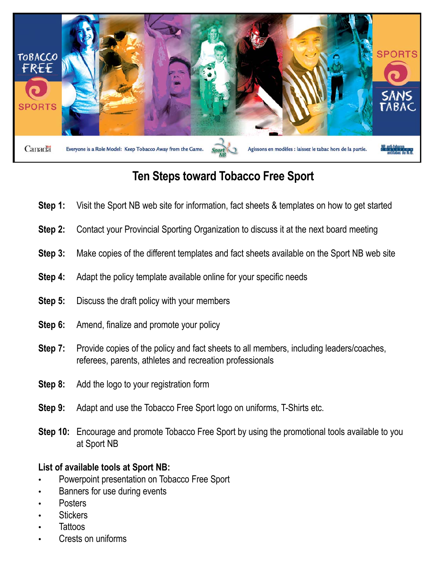

## **Ten Steps toward Tobacco Free Sport**

- **Step 1:** Visit the Sport NB web site for information, fact sheets & templates on how to get started
- **Step 2:** Contact your Provincial Sporting Organization to discuss it at the next board meeting
- **Step 3:** Make copies of the different templates and fact sheets available on the Sport NB web site
- **Step 4:** Adapt the policy template available online for your specific needs
- **Step 5:** Discuss the draft policy with your members
- **Step 6:** Amend, finalize and promote your policy
- **Step 7:** Provide copies of the policy and fact sheets to all members, including leaders/coaches, referees, parents, athletes and recreation professionals
- **Step 8:** Add the logo to your registration form
- **Step 9:** Adapt and use the Tobacco Free Sport logo on uniforms, T-Shirts etc.
- **Step 10:** Encourage and promote Tobacco Free Sport by using the promotional tools available to you at Sport NB

#### **List of available tools at Sport NB:**

- Powerpoint presentation on Tobacco Free Sport
- Banners for use during events
- **Posters**
- **Stickers**
- **Tattoos**
- Crests on uniforms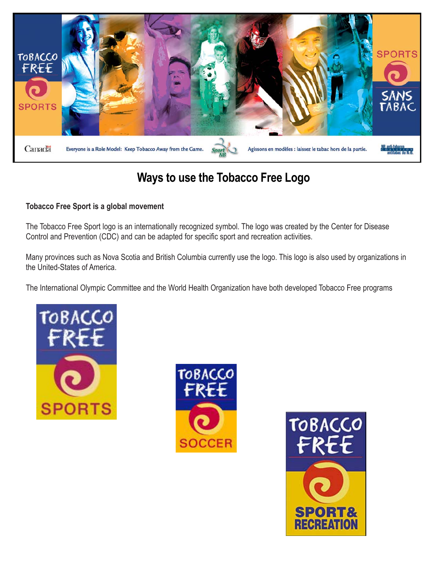

## **Ways to use the Tobacco Free Logo**

#### **Tobacco Free Sport is a global movement**

The Tobacco Free Sport logo is an internationally recognized symbol. The logo was created by the Center for Disease Control and Prevention (CDC) and can be adapted for specific sport and recreation activities.

Many provinces such as Nova Scotia and British Columbia currently use the logo. This logo is also used by organizations in the United-States of America.

The International Olympic Committee and the World Health Organization have both developed Tobacco Free programs





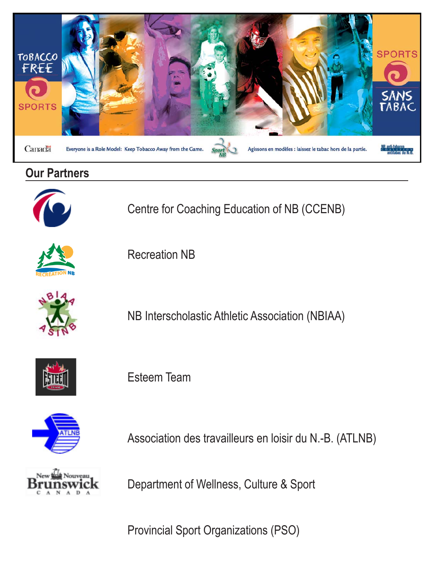

### **Our Partners**



Centre for Coaching Education of NB (CCENB)



Recreation NB



NB Interscholastic Athletic Association (NBIAA)



Esteem Team



Association des travailleurs en loisir du N.-B. (ATLNB)



Department of Wellness, Culture & Sport

Provincial Sport Organizations (PSO)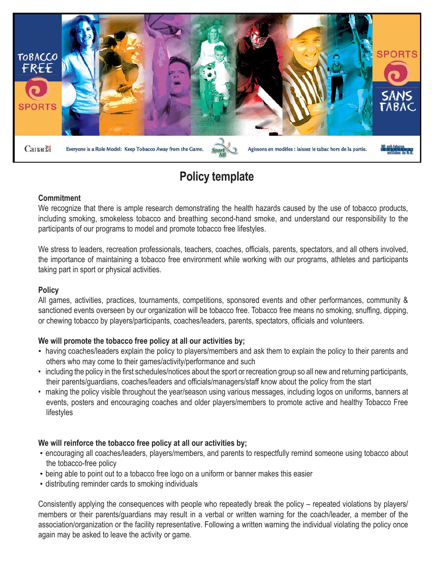

## **Policy template**

#### **Commitment**

We recognize that there is ample research demonstrating the health hazards caused by the use of tobacco products, including smoking, smokeless tobacco and breathing second-hand smoke, and understand our responsibility to the participants of our programs to model and promote tobacco free lifestyles.

We stress to leaders, recreation professionals, teachers, coaches, officials, parents, spectators, and all others involved, the importance of maintaining a tobacco free environment while working with our programs, athletes and participants taking part in sport or physical activities.

#### **Policy**

All games, activities, practices, tournaments, competitions, sponsored events and other performances, community & sanctioned events overseen by our organization will be tobacco free. Tobacco free means no smoking, snuffing, dipping, or chewing tobacco by players/participants, coaches/leaders, parents, spectators, officials and volunteers.

#### **We will promote the tobacco free policy at all our activities by;**

- having coaches/leaders explain the policy to players/members and ask them to explain the policy to their parents and others who may come to their games/activity/performance and such
- including the policy in the first schedules/notices about the sport or recreation group so all new and returning participants, their parents/guardians, coaches/leaders and officials/managers/staff know about the policy from the start
- making the policy visible throughout the year/season using various messages, including logos on uniforms, banners at events, posters and encouraging coaches and older players/members to promote active and healthy Tobacco Free lifestyles

#### **We will reinforce the tobacco free policy at all our activities by;**

- encouraging all coaches/leaders, players/members, and parents to respectfully remind someone using tobacco about the tobacco-free policy
- being able to point out to a tobacco free logo on a uniform or banner makes this easier
- distributing reminder cards to smoking individuals

Consistently applying the consequences with people who repeatedly break the policy – repeated violations by players/ members or their parents/guardians may result in a verbal or written warning for the coach/leader, a member of the association/organization or the facility representative. Following a written warning the individual violating the policy once again may be asked to leave the activity or game.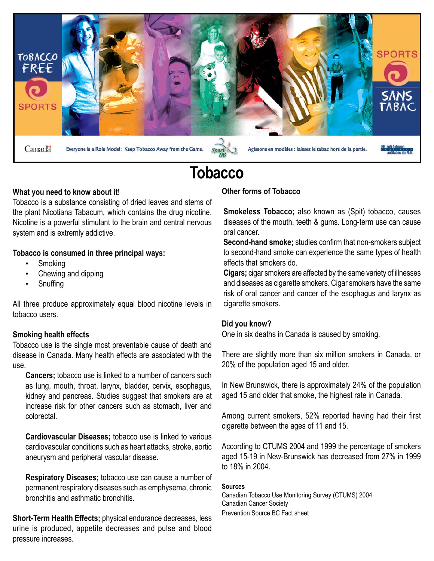

## **Tobacco**

#### **What you need to know about it!**

Tobacco is a substance consisting of dried leaves and stems of the plant Nicotiana Tabacum, which contains the drug nicotine. Nicotine is a powerful stimulant to the brain and central nervous system and is extremly addictive.

#### **Tobacco is consumed in three principal ways:**

- **Smoking**
- Chewing and dipping
- **Snuffing**

All three produce approximately equal blood nicotine levels in tobacco users.

#### **Smoking health effects**

Tobacco use is the single most preventable cause of death and disease in Canada. Many health effects are associated with the use.

**Cancers;** tobacco use is linked to a number of cancers such as lung, mouth, throat, larynx, bladder, cervix, esophagus, kidney and pancreas. Studies suggest that smokers are at increase risk for other cancers such as stomach, liver and colorectal.

**Cardiovascular Diseases;** tobacco use is linked to various cardiovascular conditions such as heart attacks, stroke, aortic aneurysm and peripheral vascular disease.

**Respiratory Diseases;** tobacco use can cause a number of permanent respiratory diseases such as emphysema, chronic bronchitis and asthmatic bronchitis.

**Short-Term Health Effects;** physical endurance decreases, less urine is produced, appetite decreases and pulse and blood pressure increases.

#### **Other forms of Tobacco**

**Smokeless Tobacco;** also known as (Spit) tobacco, causes diseases of the mouth, teeth & gums. Long-term use can cause oral cancer.

**Second-hand smoke;** studies confirm that non-smokers subject to second-hand smoke can experience the same types of health effects that smokers do.

**Cigars;** cigar smokers are affected by the same variety of illnesses and diseases as cigarette smokers. Cigar smokers have the same risk of oral cancer and cancer of the esophagus and larynx as cigarette smokers.

#### **Did you know?**

One in six deaths in Canada is caused by smoking.

There are slightly more than six million smokers in Canada, or 20% of the population aged 15 and older.

In New Brunswick, there is approximately 24% of the population aged 15 and older that smoke, the highest rate in Canada.

Among current smokers, 52% reported having had their first cigarette between the ages of 11 and 15.

According to CTUMS 2004 and 1999 the percentage of smokers aged 15-19 in New-Brunswick has decreased from 27% in 1999 to 18% in 2004.

#### **Sources**

Canadian Tobacco Use Monitoring Survey (CTUMS) 2004 Canadian Cancer Society Prevention Source BC Fact sheet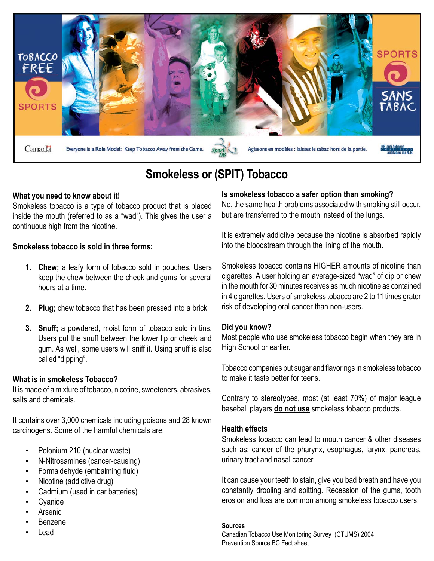

## **Smokeless or (SPIT) Tobacco**

#### **What you need to know about it!**

Smokeless tobacco is a type of tobacco product that is placed inside the mouth (referred to as a "wad"). This gives the user a continuous high from the nicotine.

#### **Smokeless tobacco is sold in three forms:**

- **1. Chew;** a leafy form of tobacco sold in pouches. Users keep the chew between the cheek and gums for several hours at a time.
- **2. Plug;** chew tobacco that has been pressed into a brick
- **3. Snuff;** a powdered, moist form of tobacco sold in tins. Users put the snuff between the lower lip or cheek and gum. As well, some users will sniff it. Using snuff is also called "dipping".

#### **What is in smokeless Tobacco?**

It is made of a mixture of tobacco, nicotine, sweeteners, abrasives, salts and chemicals.

It contains over 3,000 chemicals including poisons and 28 known carcinogens. Some of the harmful chemicals are;

- Polonium 210 (nuclear waste)
- N-Nitrosamines (cancer-causing)
- Formaldehyde (embalming fluid)
- Nicotine (addictive drug)
- Cadmium (used in car batteries)
- **Cyanide**
- Arsenic
- Benzene
- Lead

#### **Is smokeless tobacco a safer option than smoking?**

No, the same health problems associated with smoking still occur, but are transferred to the mouth instead of the lungs.

It is extremely addictive because the nicotine is absorbed rapidly into the bloodstream through the lining of the mouth.

Smokeless tobacco contains HIGHER amounts of nicotine than cigarettes. A user holding an average-sized "wad" of dip or chew in the mouth for 30 minutes receives as much nicotine as contained in 4 cigarettes. Users of smokeless tobacco are 2 to 11 times grater risk of developing oral cancer than non-users.

#### **Did you know?**

Most people who use smokeless tobacco begin when they are in High School or earlier.

Tobacco companies put sugar and flavorings in smokeless tobacco to make it taste better for teens.

Contrary to stereotypes, most (at least 70%) of major league baseball players **do not use** smokeless tobacco products.

#### **Health effects**

Smokeless tobacco can lead to mouth cancer & other diseases such as; cancer of the pharynx, esophagus, larynx, pancreas, urinary tract and nasal cancer.

It can cause your teeth to stain, give you bad breath and have you constantly drooling and spitting. Recession of the gums, tooth erosion and loss are common among smokeless tobacco users.

#### **Sources**

Canadian Tobacco Use Monitoring Survey (CTUMS) 2004 Prevention Source BC Fact sheet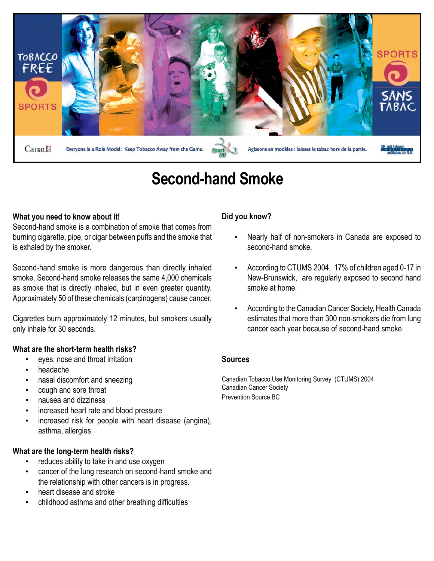

## **Second-hand Smoke**

#### **What you need to know about it!**

Second-hand smoke is a combination of smoke that comes from burning cigarette, pipe, or cigar between puffs and the smoke that is exhaled by the smoker.

Second-hand smoke is more dangerous than directly inhaled smoke. Second-hand smoke releases the same 4,000 chemicals as smoke that is directly inhaled, but in even greater quantity. Approximately 50 of these chemicals (carcinogens) cause cancer.

Cigarettes burn approximately 12 minutes, but smokers usually only inhale for 30 seconds.

#### **What are the short-term health risks?**

- eyes, nose and throat irritation
- headache
- nasal discomfort and sneezing
- cough and sore throat
- nausea and dizziness
- increased heart rate and blood pressure
- increased risk for people with heart disease (angina), asthma, allergies

#### **What are the long-term health risks?**

- reduces ability to take in and use oxygen
- cancer of the lung research on second-hand smoke and the relationship with other cancers is in progress.
- heart disease and stroke
- childhood asthma and other breathing difficulties

#### **Did you know?**

- Nearly half of non-smokers in Canada are exposed to second-hand smoke.
- According to CTUMS 2004, 17% of children aged 0-17 in New-Brunswick, are regularly exposed to second hand smoke at home.
- According to the Canadian Cancer Society, Health Canada estimates that more than 300 non-smokers die from lung cancer each year because of second-hand smoke.

#### **Sources**

Canadian Tobacco Use Monitoring Survey (CTUMS) 2004 Canadian Cancer Society Prevention Source BC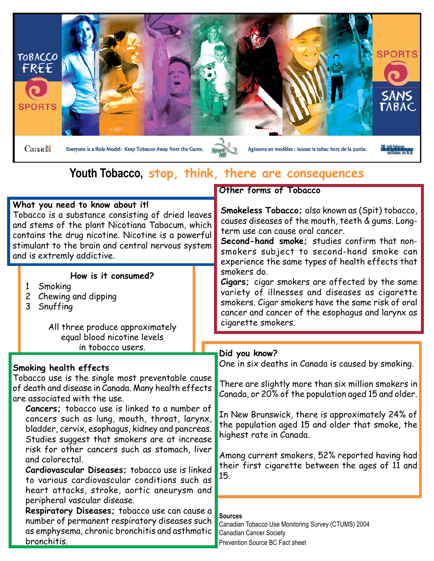

### **Youth Tobacco, stop, think, there are consequences**

#### **What you need to know about it!**

Tobacco is a substance consisting of dried leaves and stems of the plant Nicotiana Tabacum, which contains the drug nicotine. Nicotine is a powerful stimulant to the brain and central nervous system and is extremly addictive.

#### **How is it consumed?**

- 1 Smoking
- 2 Chewing and dipping
- 3 Snuffing

All three produce approximately equal blood nicotine levels in tobacco users.

#### **Smoking health effects**

Tobacco use is the single most preventable cause of death and disease in Canada. Many health effects are associated with the use.

**Cancers;** tobacco use is linked to a number of cancers such as lung, mouth, throat, larynx, bladder, cervix, esophagus, kidney and pancreas. Studies suggest that smokers are at increase risk for other cancers such as stomach, liver and colorectal.

**Cardiovascular Diseases;** tobacco use is linked to various cardiovascular conditions such as heart attacks, stroke, aortic aneurysm and peripheral vascular disease.

**Respiratory Diseases;** tobacco use can cause a number of permanent respiratory diseases such as emphysema, chronic bronchitis and asthmatic bronchitis.

#### **Other forms of Tobacco**

**Smokeless Tobacco;** also known as (Spit) tobacco, causes diseases of the mouth, teeth & gums. Longterm use can cause oral cancer.

**Second-hand smoke;** studies confirm that nonsmokers subject to second-hand smoke can experience the same types of health effects that smokers do.

**Cigars;** cigar smokers are affected by the same variety of illnesses and diseases as cigarette smokers. Cigar smokers have the same risk of oral cancer and cancer of the esophagus and larynx as cigarette smokers.

#### **Did you know?**

One in six deaths in Canada is caused by smoking.

There are slightly more than six million smokers in Canada, or 20% of the population aged 15 and older.

In New Brunswick, there is approximately 24% of the population aged 15 and older that smoke, the highest rate in Canada.

Among current smokers, 52% reported having had their first cigarette between the ages of 11 and 15.

#### **Sources**

Canadian Tobacco Use Monitoring Survey (CTUMS) 2004 Canadian Cancer Society Prevention Source BC Fact sheet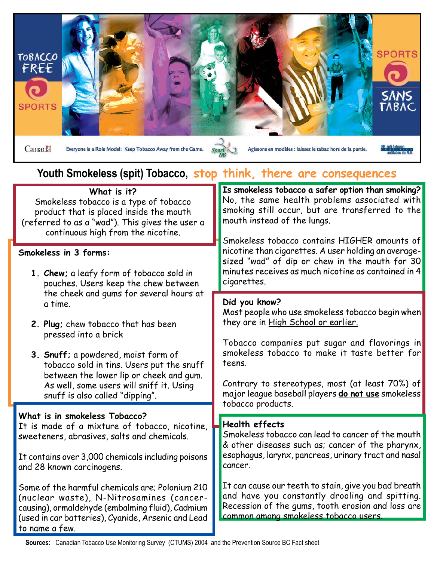

## **Youth Smokeless (spit) Tobacco, stop think, there are consequences**

| Is smokeless tobacco a safer option than smoking?<br>No, the same health problems associated with<br>smoking still occur, but are transferred to the<br>Smokeless tobacco contains HIGHER amounts of<br>nicotine than cigarettes. A user holding an average- |
|--------------------------------------------------------------------------------------------------------------------------------------------------------------------------------------------------------------------------------------------------------------|
|                                                                                                                                                                                                                                                              |
| sized "wad" of dip or chew in the mouth for 30<br>minutes receives as much nicotine as contained in 4                                                                                                                                                        |
| Most people who use smokeless tobacco begin when                                                                                                                                                                                                             |
| Tobacco companies put sugar and flavorings in<br>smokeless tobacco to make it taste better for                                                                                                                                                               |
| Contrary to stereotypes, most (at least 70%) of<br>major league baseball players do not use smokeless                                                                                                                                                        |
|                                                                                                                                                                                                                                                              |
| Smokeless tobacco can lead to cancer of the mouth<br>& other diseases such as; cancer of the pharynx,                                                                                                                                                        |
| esophagus, larynx, pancreas, urinary tract and nasal                                                                                                                                                                                                         |
| It can cause our teeth to stain, give you bad breath<br>and have you constantly drooling and spitting.<br>Recession of the gums, tooth erosion and loss are                                                                                                  |
|                                                                                                                                                                                                                                                              |

**Sources:** Canadian Tobacco Use Monitoring Survey (CTUMS) 2004 and the Prevention Source BC Fact sheet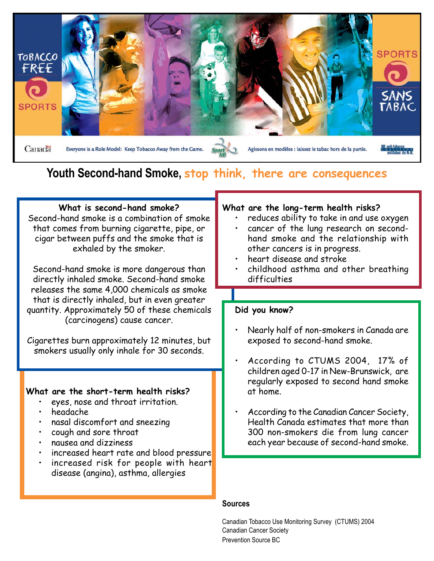

### **Youth Second-hand Smoke, stop think, there are consequences**

#### **What is second-hand smoke?**

Second-hand smoke is a combination of smoke that comes from burning cigarette, pipe, or cigar between puffs and the smoke that is exhaled by the smoker.

Second-hand smoke is more dangerous than directly inhaled smoke. Second-hand smoke releases the same 4,000 chemicals as smoke that is directly inhaled, but in even greater quantity. Approximately 50 of these chemicals (carcinogens) cause cancer.

Cigarettes burn approximately 12 minutes, but smokers usually only inhale for 30 seconds.

#### **What are the short-term health risks?**

- eyes, nose and throat irritation.
- headache
- nasal discomfort and sneezing
- cough and sore throat
- nausea and dizziness
- increased heart rate and blood pressure
- increased risk for people with heart disease (angina), asthma, allergies

#### **What are the long-term health risks?**

- reduces ability to take in and use oxygen
- cancer of the lung research on secondhand smoke and the relationship with other cancers is in progress.
- heart disease and stroke
- childhood asthma and other breathing difficulties

#### **Did you know?**

- Nearly half of non-smokers in Canada are exposed to second-hand smoke.
- According to CTUMS 2004, 17% of children aged 0-17 in New-Brunswick, are regularly exposed to second hand smoke at home.
- According to the Canadian Cancer Society, Health Canada estimates that more than 300 non-smokers die from lung cancer each year because of second-hand smoke.

#### **Sources**

Canadian Tobacco Use Monitoring Survey (CTUMS) 2004 Canadian Cancer Society Prevention Source BC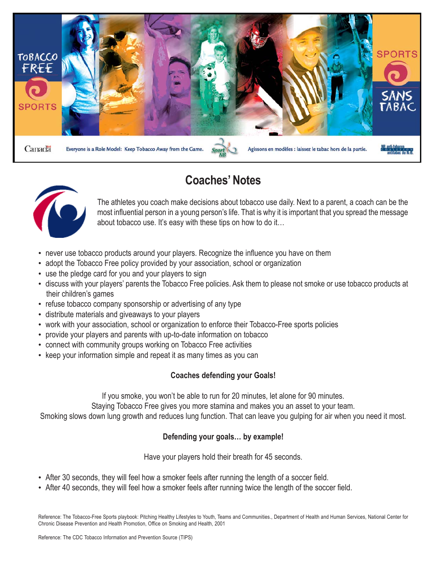

### **Coaches' Notes**



The athletes you coach make decisions about tobacco use daily. Next to a parent, a coach can be the most influential person in a young person's life. That is why it is important that you spread the message about tobacco use. It's easy with these tips on how to do it…

- never use tobacco products around your players. Recognize the influence you have on them
- adopt the Tobacco Free policy provided by your association, school or organization
- use the pledge card for you and your players to sign
- discuss with your players' parents the Tobacco Free policies. Ask them to please not smoke or use tobacco products at their children's games
- refuse tobacco company sponsorship or advertising of any type
- distribute materials and giveaways to your players
- work with your association, school or organization to enforce their Tobacco-Free sports policies
- provide your players and parents with up-to-date information on tobacco
- connect with community groups working on Tobacco Free activities
- keep your information simple and repeat it as many times as you can

#### **Coaches defending your Goals!**

If you smoke, you won't be able to run for 20 minutes, let alone for 90 minutes.

Staying Tobacco Free gives you more stamina and makes you an asset to your team.

Smoking slows down lung growth and reduces lung function. That can leave you gulping for air when you need it most.

#### **Defending your goals… by example!**

Have your players hold their breath for 45 seconds.

- After 30 seconds, they will feel how a smoker feels after running the length of a soccer field.
- After 40 seconds, they will feel how a smoker feels after running twice the length of the soccer field.

Reference: The Tobacco-Free Sports playbook: Pitching Healthy Lifestyles to Youth, Teams and Communities., Department of Health and Human Services, National Center for Chronic Disease Prevention and Health Promotion, Office on Smoking and Health, 2001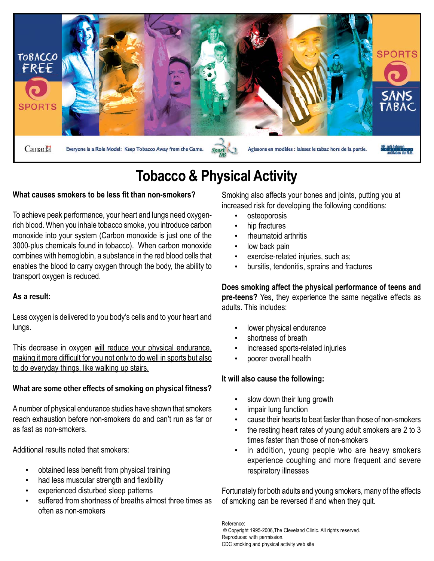

## **Tobacco & Physical Activity**

#### **What causes smokers to be less fit than non-smokers?**

To achieve peak performance, your heart and lungs need oxygenrich blood. When you inhale tobacco smoke, you introduce carbon monoxide into your system (Carbon monoxide is just one of the 3000-plus chemicals found in tobacco). When carbon monoxide combines with hemoglobin, a substance in the red blood cells that enables the blood to carry oxygen through the body, the ability to transport oxygen is reduced.

#### **As a result:**

Less oxygen is delivered to you body's cells and to your heart and lungs.

This decrease in oxygen will reduce your physical endurance. making it more difficult for you not only to do well in sports but also to do everyday things, like walking up stairs.

#### **What are some other effects of smoking on physical fitness?**

A number of physical endurance studies have shown that smokers reach exhaustion before non-smokers do and can't run as far or as fast as non-smokers.

Additional results noted that smokers:

- obtained less benefit from physical training
- had less muscular strength and flexibility
- experienced disturbed sleep patterns
- suffered from shortness of breaths almost three times as often as non-smokers

Smoking also affects your bones and joints, putting you at increased risk for developing the following conditions:

- osteoporosis
- hip fractures
- rheumatoid arthritis
- low back pain
- exercise-related injuries, such as;
- bursitis, tendonitis, sprains and fractures

**Does smoking affect the physical performance of teens and pre-teens?** Yes, they experience the same negative effects as adults. This includes:

- lower physical endurance
- shortness of breath
- increased sports-related injuries
- poorer overall health

#### **It will also cause the following:**

- slow down their lung growth
- impair lung function
- cause their hearts to beat faster than those of non-smokers
- the resting heart rates of young adult smokers are 2 to 3 times faster than those of non-smokers
- in addition, young people who are heavy smokers experience coughing and more frequent and severe respiratory illnesses

Fortunately for both adults and young smokers, many of the effects of smoking can be reversed if and when they quit.

Reference: © Copyright 1995-2006,The Cleveland Clinic. All rights reserved. Reproduced with permission. CDC smoking and physical activity web site